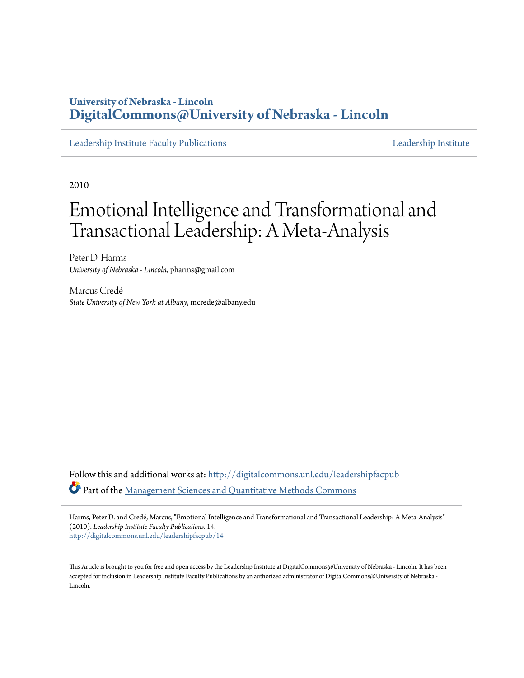# **University of Nebraska - Lincoln [DigitalCommons@University of Nebraska - Lincoln](http://digitalcommons.unl.edu?utm_source=digitalcommons.unl.edu%2Fleadershipfacpub%2F14&utm_medium=PDF&utm_campaign=PDFCoverPages)**

[Leadership Institute Faculty Publications](http://digitalcommons.unl.edu/leadershipfacpub?utm_source=digitalcommons.unl.edu%2Fleadershipfacpub%2F14&utm_medium=PDF&utm_campaign=PDFCoverPages) [Leadership Institute](http://digitalcommons.unl.edu/leadershipinst?utm_source=digitalcommons.unl.edu%2Fleadershipfacpub%2F14&utm_medium=PDF&utm_campaign=PDFCoverPages)

2010

# Emotional Intelligence and Transformational and Transactional Leadership: A Meta-Analysis

Peter D. Harms *University of Nebraska - Lincoln*, pharms@gmail.com

Marcus Credé *State University of New York at Albany*, mcrede@albany.edu

Follow this and additional works at: [http://digitalcommons.unl.edu/leadershipfacpub](http://digitalcommons.unl.edu/leadershipfacpub?utm_source=digitalcommons.unl.edu%2Fleadershipfacpub%2F14&utm_medium=PDF&utm_campaign=PDFCoverPages) Part of the [Management Sciences and Quantitative Methods Commons](http://network.bepress.com/hgg/discipline/637?utm_source=digitalcommons.unl.edu%2Fleadershipfacpub%2F14&utm_medium=PDF&utm_campaign=PDFCoverPages)

Harms, Peter D. and Credé, Marcus, "Emotional Intelligence and Transformational and Transactional Leadership: A Meta-Analysis" (2010). *Leadership Institute Faculty Publications*. 14. [http://digitalcommons.unl.edu/leadershipfacpub/14](http://digitalcommons.unl.edu/leadershipfacpub/14?utm_source=digitalcommons.unl.edu%2Fleadershipfacpub%2F14&utm_medium=PDF&utm_campaign=PDFCoverPages)

This Article is brought to you for free and open access by the Leadership Institute at DigitalCommons@University of Nebraska - Lincoln. It has been accepted for inclusion in Leadership Institute Faculty Publications by an authorized administrator of DigitalCommons@University of Nebraska - Lincoln.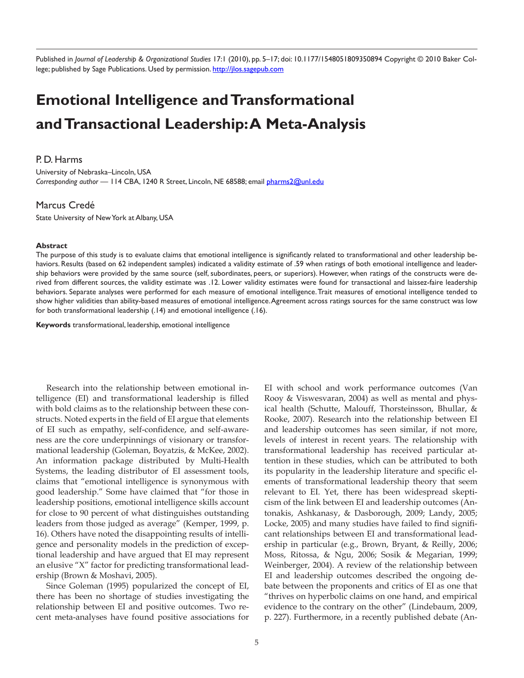Published in *Journal of Leadership & Organizational Studies* 17:1 (2010), pp. 5–17; doi: 10.1177/1548051809350894 Copyright © 2010 Baker College; published by Sage Publications. Used by permission. http://jlos.sagepub.com

# **Emotional Intelligence and Transformational and Transactional Leadership: A Meta-Analysis**

# P. D. Harms

University of Nebraska–Lincoln, USA *Corresponding author —* 114 CBA, 1240 R Street, Lincoln, NE 68588; email pharms2@unl.edu

#### Marcus Credé

State University of New York at Albany, USA

#### **Abstract**

The purpose of this study is to evaluate claims that emotional intelligence is significantly related to transformational and other leadership behaviors. Results (based on 62 independent samples) indicated a validity estimate of .59 when ratings of both emotional intelligence and leadership behaviors were provided by the same source (self, subordinates, peers, or superiors). However, when ratings of the constructs were derived from different sources, the validity estimate was .12. Lower validity estimates were found for transactional and laissez-faire leadership behaviors. Separate analyses were performed for each measure of emotional intelligence. Trait measures of emotional intelligence tended to show higher validities than ability-based measures of emotional intelligence. Agreement across ratings sources for the same construct was low for both transformational leadership (.14) and emotional intelligence (.16).

**Keywords** transformational, leadership, emotional intelligence

Research into the relationship between emotional intelligence (EI) and transformational leadership is filled with bold claims as to the relationship between these constructs. Noted experts in the field of EI argue that elements of EI such as empathy, self-confidence, and self-awareness are the core underpinnings of visionary or transformational leadership (Goleman, Boyatzis, & McKee, 2002). An information package distributed by Multi-Health Systems, the leading distributor of EI assessment tools, claims that "emotional intelligence is synonymous with good leadership." Some have claimed that "for those in leadership positions, emotional intelligence skills account for close to 90 percent of what distinguishes outstanding leaders from those judged as average" (Kemper, 1999, p. 16). Others have noted the disappointing results of intelligence and personality models in the prediction of exceptional leadership and have argued that EI may represent an elusive "X" factor for predicting transformational leadership (Brown & Moshavi, 2005).

Since Goleman (1995) popularized the concept of EI, there has been no shortage of studies investigating the relationship between EI and positive outcomes. Two recent meta-analyses have found positive associations for EI with school and work performance outcomes (Van Rooy & Viswesvaran, 2004) as well as mental and physical health (Schutte, Malouff, Thorsteinsson, Bhullar, & Rooke, 2007). Research into the relationship between EI and leadership outcomes has seen similar, if not more, levels of interest in recent years. The relationship with transformational leadership has received particular attention in these studies, which can be attributed to both its popularity in the leadership literature and specific elements of transformational leadership theory that seem relevant to EI. Yet, there has been widespread skepticism of the link between EI and leadership outcomes (Antonakis, Ashkanasy, & Dasborough, 2009; Landy, 2005; Locke, 2005) and many studies have failed to find significant relationships between EI and transformational leadership in particular (e.g., Brown, Bryant, & Reilly, 2006; Moss, Ritossa, & Ngu, 2006; Sosik & Megarian, 1999; Weinberger, 2004). A review of the relationship between EI and leadership outcomes described the ongoing debate between the proponents and critics of EI as one that "thrives on hyperbolic claims on one hand, and empirical evidence to the contrary on the other" (Lindebaum, 2009, p. 227). Furthermore, in a recently published debate (An-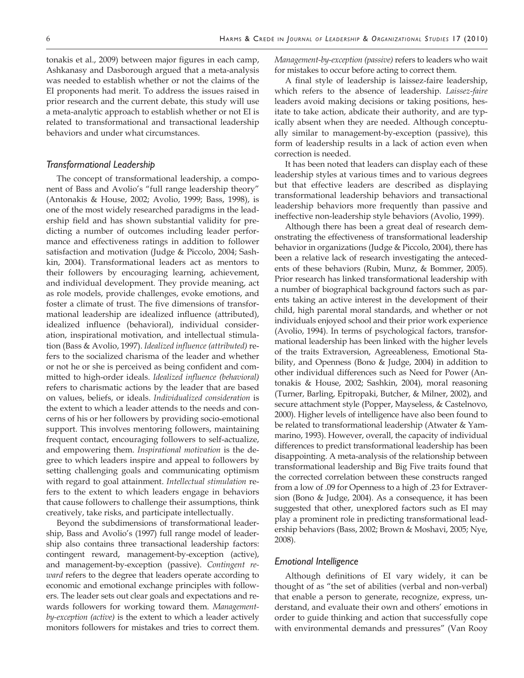tonakis et al., 2009) between major figures in each camp, Ashkanasy and Dasborough argued that a meta-analysis was needed to establish whether or not the claims of the EI proponents had merit. To address the issues raised in prior research and the current debate, this study will use a meta-analytic approach to establish whether or not EI is related to transformational and transactional leadership behaviors and under what circumstances.

#### *Transformational Leadership*

The concept of transformational leadership, a component of Bass and Avolio's "full range leadership theory" (Antonakis & House, 2002; Avolio, 1999; Bass, 1998), is one of the most widely researched paradigms in the leadership field and has shown substantial validity for predicting a number of outcomes including leader performance and effectiveness ratings in addition to follower satisfaction and motivation (Judge & Piccolo, 2004; Sashkin, 2004). Transformational leaders act as mentors to their followers by encouraging learning, achievement, and individual development. They provide meaning, act as role models, provide challenges, evoke emotions, and foster a climate of trust. The five dimensions of transformational leadership are idealized influence (attributed), idealized influence (behavioral), individual consideration, inspirational motivation, and intellectual stimulation (Bass & Avolio, 1997). *Idealized influence (attributed)* refers to the socialized charisma of the leader and whether or not he or she is perceived as being confident and committed to high-order ideals. *Idealized influence (behavioral)*  refers to charismatic actions by the leader that are based on values, beliefs, or ideals. *Individualized consideration* is the extent to which a leader attends to the needs and concerns of his or her followers by providing socio-emotional support. This involves mentoring followers, maintaining frequent contact, encouraging followers to self-actualize, and empowering them. *Inspirational motivation* is the degree to which leaders inspire and appeal to followers by setting challenging goals and communicating optimism with regard to goal attainment. *Intellectual stimulation* refers to the extent to which leaders engage in behaviors that cause followers to challenge their assumptions, think creatively, take risks, and participate intellectually.

Beyond the subdimensions of transformational leadership, Bass and Avolio's (1997) full range model of leadership also contains three transactional leadership factors: contingent reward, management-by-exception (active), and management-by-exception (passive). *Contingent reward* refers to the degree that leaders operate according to economic and emotional exchange principles with followers. The leader sets out clear goals and expectations and rewards followers for working toward them. *Managementby-exception (active)* is the extent to which a leader actively monitors followers for mistakes and tries to correct them.

*Management-by-exception (passive)* refers to leaders who wait for mistakes to occur before acting to correct them.

A final style of leadership is laissez-faire leadership, which refers to the absence of leadership. *Laissez-faire*  leaders avoid making decisions or taking positions, hesitate to take action, abdicate their authority, and are typically absent when they are needed. Although conceptually similar to management-by-exception (passive), this form of leadership results in a lack of action even when correction is needed.

It has been noted that leaders can display each of these leadership styles at various times and to various degrees but that effective leaders are described as displaying transformational leadership behaviors and transactional leadership behaviors more frequently than passive and ineffective non-leadership style behaviors (Avolio, 1999).

Although there has been a great deal of research demonstrating the effectiveness of transformational leadership behavior in organizations (Judge & Piccolo, 2004), there has been a relative lack of research investigating the antecedents of these behaviors (Rubin, Munz, & Bommer, 2005). Prior research has linked transformational leadership with a number of biographical background factors such as parents taking an active interest in the development of their child, high parental moral standards, and whether or not individuals enjoyed school and their prior work experience (Avolio, 1994). In terms of psychological factors, transformational leadership has been linked with the higher levels of the traits Extraversion, Agreeableness, Emotional Stability, and Openness (Bono & Judge, 2004) in addition to other individual differences such as Need for Power (Antonakis & House, 2002; Sashkin, 2004), moral reasoning (Turner, Barling, Epitropaki, Butcher, & Milner, 2002), and secure attachment style (Popper, Mayseless, & Castelnovo, 2000). Higher levels of intelligence have also been found to be related to transformational leadership (Atwater & Yammarino, 1993). However, overall, the capacity of individual differences to predict transformational leadership has been disappointing. A meta-analysis of the relationship between transformational leadership and Big Five traits found that the corrected correlation between these constructs ranged from a low of .09 for Openness to a high of .23 for Extraversion (Bono & Judge, 2004). As a consequence, it has been suggested that other, unexplored factors such as EI may play a prominent role in predicting transformational leadership behaviors (Bass, 2002; Brown & Moshavi, 2005; Nye, 2008).

# *Emotional Intelligence*

Although definitions of EI vary widely, it can be thought of as "the set of abilities (verbal and non-verbal) that enable a person to generate, recognize, express, understand, and evaluate their own and others' emotions in order to guide thinking and action that successfully cope with environmental demands and pressures" (Van Rooy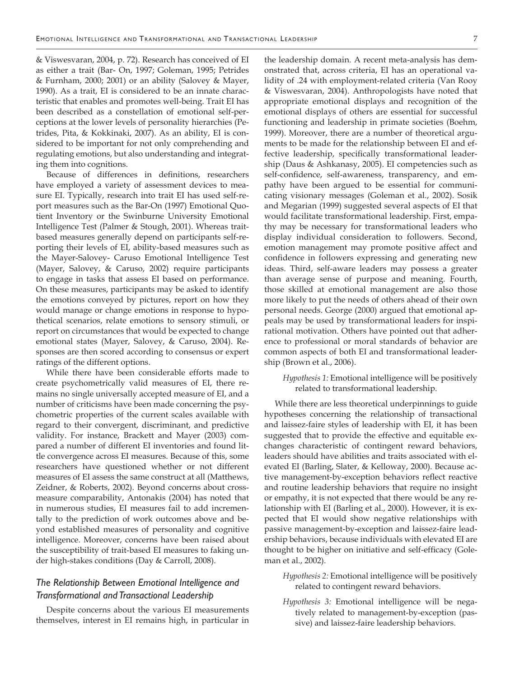& Viswesvaran, 2004, p. 72). Research has conceived of EI as either a trait (Bar- On, 1997; Goleman, 1995; Petrides & Furnham, 2000; 2001) or an ability (Salovey & Mayer, 1990). As a trait, EI is considered to be an innate characteristic that enables and promotes well-being. Trait EI has been described as a constellation of emotional self-perceptions at the lower levels of personality hierarchies (Petrides, Pita, & Kokkinaki, 2007). As an ability, EI is considered to be important for not only comprehending and regulating emotions, but also understanding and integrating them into cognitions.

Because of differences in definitions, researchers have employed a variety of assessment devices to measure EI. Typically, research into trait EI has used self-report measures such as the Bar-On (1997) Emotional Quotient Inventory or the Swinburne University Emotional Intelligence Test (Palmer & Stough, 2001). Whereas traitbased measures generally depend on participants self-reporting their levels of EI, ability-based measures such as the Mayer-Salovey- Caruso Emotional Intelligence Test (Mayer, Salovey, & Caruso, 2002) require participants to engage in tasks that assess EI based on performance. On these measures, participants may be asked to identify the emotions conveyed by pictures, report on how they would manage or change emotions in response to hypothetical scenarios, relate emotions to sensory stimuli, or report on circumstances that would be expected to change emotional states (Mayer, Salovey, & Caruso, 2004). Responses are then scored according to consensus or expert ratings of the different options.

While there have been considerable efforts made to create psychometrically valid measures of EI, there remains no single universally accepted measure of EI, and a number of criticisms have been made concerning the psychometric properties of the current scales available with regard to their convergent, discriminant, and predictive validity. For instance, Brackett and Mayer (2003) compared a number of different EI inventories and found little convergence across EI measures. Because of this, some researchers have questioned whether or not different measures of EI assess the same construct at all (Matthews, Zeidner, & Roberts, 2002). Beyond concerns about crossmeasure comparability, Antonakis (2004) has noted that in numerous studies, EI measures fail to add incrementally to the prediction of work outcomes above and beyond established measures of personality and cognitive intelligence. Moreover, concerns have been raised about the susceptibility of trait-based EI measures to faking under high-stakes conditions (Day & Carroll, 2008).

# *The Relationship Between Emotional Intelligence and Transformational and Transactional Leadership*

Despite concerns about the various EI measurements themselves, interest in EI remains high, in particular in

the leadership domain. A recent meta-analysis has demonstrated that, across criteria, EI has an operational validity of .24 with employment-related criteria (Van Rooy & Viswesvaran, 2004). Anthropologists have noted that appropriate emotional displays and recognition of the emotional displays of others are essential for successful functioning and leadership in primate societies (Boehm, 1999). Moreover, there are a number of theoretical arguments to be made for the relationship between EI and effective leadership, specifically transformational leadership (Daus & Ashkanasy, 2005). EI competencies such as self-confidence, self-awareness, transparency, and empathy have been argued to be essential for communicating visionary messages (Goleman et al., 2002). Sosik and Megarian (1999) suggested several aspects of EI that would facilitate transformational leadership. First, empathy may be necessary for transformational leaders who display individual consideration to followers. Second, emotion management may promote positive affect and confidence in followers expressing and generating new ideas. Third, self-aware leaders may possess a greater than average sense of purpose and meaning. Fourth, those skilled at emotional management are also those more likely to put the needs of others ahead of their own personal needs. George (2000) argued that emotional appeals may be used by transformational leaders for inspirational motivation. Others have pointed out that adherence to professional or moral standards of behavior are common aspects of both EI and transformational leadership (Brown et al., 2006).

# *Hypothesis 1:* Emotional intelligence will be positively related to transformational leadership.

While there are less theoretical underpinnings to guide hypotheses concerning the relationship of transactional and laissez-faire styles of leadership with EI, it has been suggested that to provide the effective and equitable exchanges characteristic of contingent reward behaviors, leaders should have abilities and traits associated with elevated EI (Barling, Slater, & Kelloway, 2000). Because active management-by-exception behaviors reflect reactive and routine leadership behaviors that require no insight or empathy, it is not expected that there would be any relationship with EI (Barling et al., 2000). However, it is expected that EI would show negative relationships with passive management-by-exception and laissez-faire leadership behaviors, because individuals with elevated EI are thought to be higher on initiative and self-efficacy (Goleman et al., 2002).

- *Hypothesis 2:* Emotional intelligence will be positively related to contingent reward behaviors.
- *Hypothesis 3:* Emotional intelligence will be negatively related to management-by-exception (passive) and laissez-faire leadership behaviors.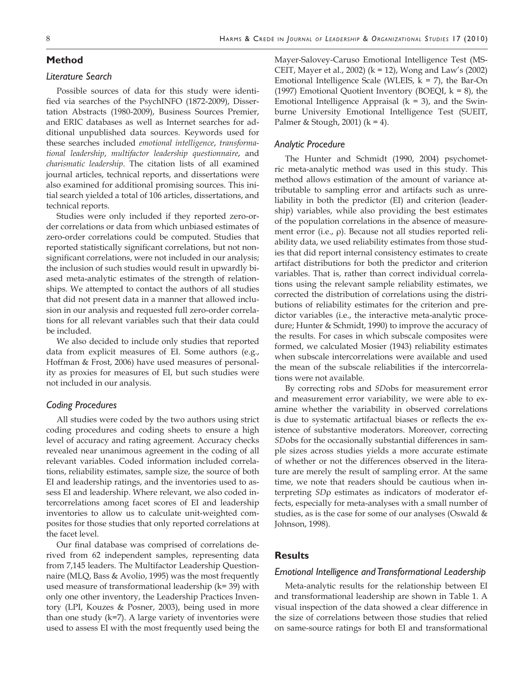# **Method**

# *Literature Search*

Possible sources of data for this study were identified via searches of the PsychINFO (1872-2009), Dissertation Abstracts (1980-2009), Business Sources Premier, and ERIC databases as well as Internet searches for additional unpublished data sources. Keywords used for these searches included *emotional intelligence*, *transformational leadership*, *multifactor leadership questionnaire*, and *charismatic leadership*. The citation lists of all examined journal articles, technical reports, and dissertations were also examined for additional promising sources. This initial search yielded a total of 106 articles, dissertations, and technical reports.

Studies were only included if they reported zero-order correlations or data from which unbiased estimates of zero-order correlations could be computed. Studies that reported statistically significant correlations, but not nonsignificant correlations, were not included in our analysis; the inclusion of such studies would result in upwardly biased meta-analytic estimates of the strength of relationships. We attempted to contact the authors of all studies that did not present data in a manner that allowed inclusion in our analysis and requested full zero-order correlations for all relevant variables such that their data could be included.

We also decided to include only studies that reported data from explicit measures of EI. Some authors (e.g., Hoffman & Frost, 2006) have used measures of personality as proxies for measures of EI, but such studies were not included in our analysis.

# *Coding Procedures*

All studies were coded by the two authors using strict coding procedures and coding sheets to ensure a high level of accuracy and rating agreement. Accuracy checks revealed near unanimous agreement in the coding of all relevant variables. Coded information included correlations, reliability estimates, sample size, the source of both EI and leadership ratings, and the inventories used to assess EI and leadership. Where relevant, we also coded intercorrelations among facet scores of EI and leadership inventories to allow us to calculate unit-weighted composites for those studies that only reported correlations at the facet level.

Our final database was comprised of correlations derived from 62 independent samples, representing data from 7,145 leaders. The Multifactor Leadership Questionnaire (MLQ, Bass & Avolio, 1995) was the most frequently used measure of transformational leadership (k= 39) with only one other inventory, the Leadership Practices Inventory (LPI, Kouzes & Posner, 2003), being used in more than one study  $(k=7)$ . A large variety of inventories were used to assess EI with the most frequently used being the Mayer-Salovey-Caruso Emotional Intelligence Test (MS-CEIT, Mayer et al., 2002) (k = 12), Wong and Law's (2002) Emotional Intelligence Scale (WLEIS,  $k = 7$ ), the Bar-On (1997) Emotional Quotient Inventory (BOEQI,  $k = 8$ ), the Emotional Intelligence Appraisal  $(k = 3)$ , and the Swinburne University Emotional Intelligence Test (SUEIT, Palmer & Stough, 2001) ( $k = 4$ ).

#### *Analytic Procedure*

The Hunter and Schmidt (1990, 2004) psychometric meta-analytic method was used in this study. This method allows estimation of the amount of variance attributable to sampling error and artifacts such as unreliability in both the predictor (EI) and criterion (leadership) variables, while also providing the best estimates of the population correlations in the absence of measurement error (i.e., ρ). Because not all studies reported reliability data, we used reliability estimates from those studies that did report internal consistency estimates to create artifact distributions for both the predictor and criterion variables. That is, rather than correct individual correlations using the relevant sample reliability estimates, we corrected the distribution of correlations using the distributions of reliability estimates for the criterion and predictor variables (i.e., the interactive meta-analytic procedure; Hunter & Schmidt, 1990) to improve the accuracy of the results. For cases in which subscale composites were formed, we calculated Mosier (1943) reliability estimates when subscale intercorrelations were available and used the mean of the subscale reliabilities if the intercorrelations were not available.

By correcting *r*obs and *SD*obs for measurement error and measurement error variability, we were able to examine whether the variability in observed correlations is due to systematic artifactual biases or reflects the existence of substantive moderators. Moreover, correcting *SD*obs for the occasionally substantial differences in sample sizes across studies yields a more accurate estimate of whether or not the differences observed in the literature are merely the result of sampling error. At the same time, we note that readers should be cautious when interpreting *SD*ρ estimates as indicators of moderator effects, especially for meta-analyses with a small number of studies, as is the case for some of our analyses (Oswald & Johnson, 1998).

# **Results**

#### *Emotional Intelligence and Transformational Leadership*

Meta-analytic results for the relationship between EI and transformational leadership are shown in Table 1. A visual inspection of the data showed a clear difference in the size of correlations between those studies that relied on same-source ratings for both EI and transformational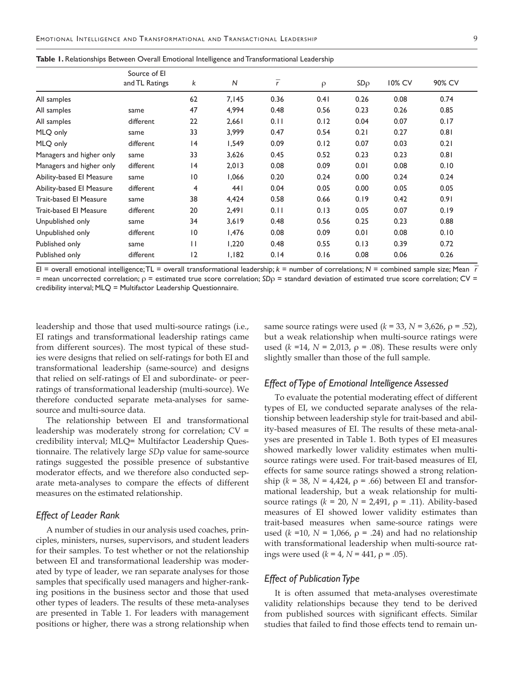|                               | Source of El   |              |       |                |        |      |               |        |
|-------------------------------|----------------|--------------|-------|----------------|--------|------|---------------|--------|
|                               | and TL Ratings | k            | N     | $\overline{r}$ | $\rho$ | SDp  | <b>10% CV</b> | 90% CV |
| All samples                   |                | 62           | 7,145 | 0.36           | 0.41   | 0.26 | 0.08          | 0.74   |
| All samples                   | same           | 47           | 4.994 | 0.48           | 0.56   | 0.23 | 0.26          | 0.85   |
| All samples                   | different      | 22           | 2,661 | 0.11           | 0.12   | 0.04 | 0.07          | 0.17   |
| MLQ only                      | same           | 33           | 3,999 | 0.47           | 0.54   | 0.21 | 0.27          | 0.81   |
| MLQ only                      | different      | 4            | 1,549 | 0.09           | 0.12   | 0.07 | 0.03          | 0.21   |
| Managers and higher only      | same           | 33           | 3,626 | 0.45           | 0.52   | 0.23 | 0.23          | 0.81   |
| Managers and higher only      | different      | 4            | 2,013 | 0.08           | 0.09   | 0.01 | 0.08          | 0.10   |
| Ability-based El Measure      | same           | 10           | 1.066 | 0.20           | 0.24   | 0.00 | 0.24          | 0.24   |
| Ability-based El Measure      | different      | 4            | 441   | 0.04           | 0.05   | 0.00 | 0.05          | 0.05   |
| <b>Trait-based El Measure</b> | same           | 38           | 4,424 | 0.58           | 0.66   | 0.19 | 0.42          | 0.91   |
| <b>Trait-based El Measure</b> | different      | 20           | 2,491 | 0.11           | 0.13   | 0.05 | 0.07          | 0.19   |
| Unpublished only              | same           | 34           | 3,619 | 0.48           | 0.56   | 0.25 | 0.23          | 0.88   |
| Unpublished only              | different      | 10           | 1,476 | 0.08           | 0.09   | 0.01 | 0.08          | 0.10   |
| Published only                | same           | $\mathbf{H}$ | 1,220 | 0.48           | 0.55   | 0.13 | 0.39          | 0.72   |
| Published only                | different      | 12           | 1,182 | 0.14           | 0.16   | 0.08 | 0.06          | 0.26   |

EI = overall emotional intelligence; TL = overall transformational leadership;  $k =$  number of correlations;  $N =$  combined sample size; Mean  $\bar{r}$ = mean uncorrected correlation; ρ = estimated true score correlation; *SD*ρ = standard deviation of estimated true score correlation; CV = credibility interval; MLQ = Multifactor Leadership Questionnaire.

leadership and those that used multi-source ratings (i.e., EI ratings and transformational leadership ratings came from different sources). The most typical of these studies were designs that relied on self-ratings for both EI and transformational leadership (same-source) and designs that relied on self-ratings of EI and subordinate- or peerratings of transformational leadership (multi-source). We therefore conducted separate meta-analyses for samesource and multi-source data.

The relationship between EI and transformational leadership was moderately strong for correlation; CV = credibility interval; MLQ= Multifactor Leadership Questionnaire. The relatively large *SD*ρ value for same-source ratings suggested the possible presence of substantive moderator effects, and we therefore also conducted separate meta-analyses to compare the effects of different measures on the estimated relationship.

# *Effect of Leader Rank*

A number of studies in our analysis used coaches, principles, ministers, nurses, supervisors, and student leaders for their samples. To test whether or not the relationship between EI and transformational leadership was moderated by type of leader, we ran separate analyses for those samples that specifically used managers and higher-ranking positions in the business sector and those that used other types of leaders. The results of these meta-analyses are presented in Table 1. For leaders with management positions or higher, there was a strong relationship when same source ratings were used (*k* = 33, *N* = 3,626, ρ = .52), but a weak relationship when multi-source ratings were used  $(k = 14, N = 2,013, \rho = .08)$ . These results were only slightly smaller than those of the full sample.

# *Effect of Type of Emotional Intelligence Assessed*

To evaluate the potential moderating effect of different types of EI, we conducted separate analyses of the relationship between leadership style for trait-based and ability-based measures of EI. The results of these meta-analyses are presented in Table 1. Both types of EI measures showed markedly lower validity estimates when multisource ratings were used. For trait-based measures of EI, effects for same source ratings showed a strong relationship ( $k = 38$ ,  $N = 4,424$ ,  $ρ = .66$ ) between EI and transformational leadership, but a weak relationship for multisource ratings ( $k = 20$ ,  $N = 2,491$ ,  $\rho = .11$ ). Ability-based measures of EI showed lower validity estimates than trait-based measures when same-source ratings were used  $(k = 10, N = 1,066, \rho = .24)$  and had no relationship with transformational leadership when multi-source ratings were used  $(k = 4, N = 441, \rho = .05)$ .

# *Effect of Publication Type*

It is often assumed that meta-analyses overestimate validity relationships because they tend to be derived from published sources with significant effects. Similar studies that failed to find those effects tend to remain un-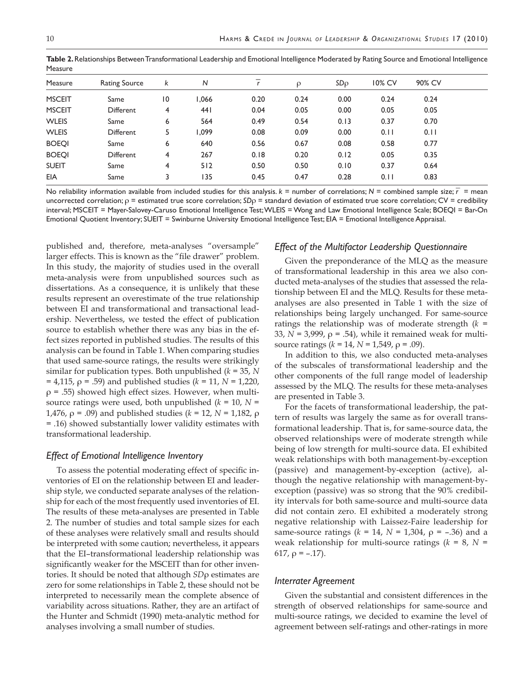| Measure       | <b>Rating Source</b> | k  | N    |      | $\Omega$ | SD <sub>p</sub> | 10% CV | 90% CV |  |
|---------------|----------------------|----|------|------|----------|-----------------|--------|--------|--|
| <b>MSCEIT</b> | Same                 | 10 | ,066 | 0.20 | 0.24     | 0.00            | 0.24   | 0.24   |  |
| <b>MSCEIT</b> | <b>Different</b>     | 4  | 441  | 0.04 | 0.05     | 0.00            | 0.05   | 0.05   |  |
| <b>WLEIS</b>  | Same                 | 6  | 564  | 0.49 | 0.54     | 0.13            | 0.37   | 0.70   |  |
| <b>WLEIS</b>  | <b>Different</b>     | 5  | 099  | 0.08 | 0.09     | 0.00            | 0.11   | 0.11   |  |
| <b>BOEQI</b>  | Same                 | 6  | 640  | 0.56 | 0.67     | 0.08            | 0.58   | 0.77   |  |
| <b>BOEQI</b>  | <b>Different</b>     | 4  | 267  | 0.18 | 0.20     | 0.12            | 0.05   | 0.35   |  |
| <b>SUEIT</b>  | Same                 | 4  | 512  | 0.50 | 0.50     | 0.10            | 0.37   | 0.64   |  |
| <b>EIA</b>    | Same                 | 3  | 135  | 0.45 | 0.47     | 0.28            | 0.11   | 0.83   |  |
|               |                      |    |      |      |          |                 |        |        |  |

**Table 2.** Relationships Between Transformational Leadership and Emotional Intelligence Moderated by Rating Source and Emotional Intelligence Measure

No reliability information available from included studies for this analysis. *k* = number of correlations; *N* = combined sample size; *r¯* = mean uncorrected correlation;  $ρ =$  estimated true score correlation;  $SDρ =$  standard deviation of estimated true score correlation;  $CV =$  credibility interval; MSCEIT = Mayer-Salovey-Caruso Emotional Intelligence Test; WLEIS = Wong and Law Emotional Intelligence Scale; BOEQI = Bar-On Emotional Quotient Inventory; SUEIT = Swinburne University Emotional Intelligence Test; EIA = Emotional Intelligence Appraisal.

published and, therefore, meta-analyses "oversample" larger effects. This is known as the "file drawer" problem. In this study, the majority of studies used in the overall meta-analysis were from unpublished sources such as dissertations. As a consequence, it is unlikely that these results represent an overestimate of the true relationship between EI and transformational and transactional leadership. Nevertheless, we tested the effect of publication source to establish whether there was any bias in the effect sizes reported in published studies. The results of this analysis can be found in Table 1. When comparing studies that used same-source ratings, the results were strikingly similar for publication types. Both unpublished (*k* = 35, *N*  = 4,115, ρ = .59) and published studies (*k* = 11, *N* = 1,220,  $\rho = .55$ ) showed high effect sizes. However, when multisource ratings were used, both unpublished  $(k = 10, N =$ 1,476, ρ = .09) and published studies (*k* = 12, *N* = 1,182, ρ = .16) showed substantially lower validity estimates with transformational leadership.

#### *Effect of Emotional Intelligence Inventory*

To assess the potential moderating effect of specific inventories of EI on the relationship between EI and leadership style, we conducted separate analyses of the relationship for each of the most frequently used inventories of EI. The results of these meta-analyses are presented in Table 2. The number of studies and total sample sizes for each of these analyses were relatively small and results should be interpreted with some caution; nevertheless, it appears that the EI–transformational leadership relationship was significantly weaker for the MSCEIT than for other inventories. It should be noted that although *SD*ρ estimates are zero for some relationships in Table 2, these should not be interpreted to necessarily mean the complete absence of variability across situations. Rather, they are an artifact of the Hunter and Schmidt (1990) meta-analytic method for analyses involving a small number of studies.

# *Effect of the Multifactor Leadership Questionnaire*

Given the preponderance of the MLQ as the measure of transformational leadership in this area we also conducted meta-analyses of the studies that assessed the relationship between EI and the MLQ. Results for these metaanalyses are also presented in Table 1 with the size of relationships being largely unchanged. For same-source ratings the relationship was of moderate strength (*k* = 33,  $N = 3,999$ ,  $\rho = .54$ ), while it remained weak for multisource ratings (*k* = 14, *N* = 1,549, ρ = .09).

In addition to this, we also conducted meta-analyses of the subscales of transformational leadership and the other components of the full range model of leadership assessed by the MLQ. The results for these meta-analyses are presented in Table 3.

For the facets of transformational leadership, the pattern of results was largely the same as for overall transformational leadership. That is, for same-source data, the observed relationships were of moderate strength while being of low strength for multi-source data. EI exhibited weak relationships with both management-by-exception (passive) and management-by-exception (active), although the negative relationship with management-byexception (passive) was so strong that the 90% credibility intervals for both same-source and multi-source data did not contain zero. EI exhibited a moderately strong negative relationship with Laissez-Faire leadership for same-source ratings (*k* = 14, *N* = 1,304, ρ = –.36) and a weak relationship for multi-source ratings  $(k = 8, N = 1)$ 617,  $ρ = -.17$ ).

#### *Interrater Agreement*

Given the substantial and consistent differences in the strength of observed relationships for same-source and multi-source ratings, we decided to examine the level of agreement between self-ratings and other-ratings in more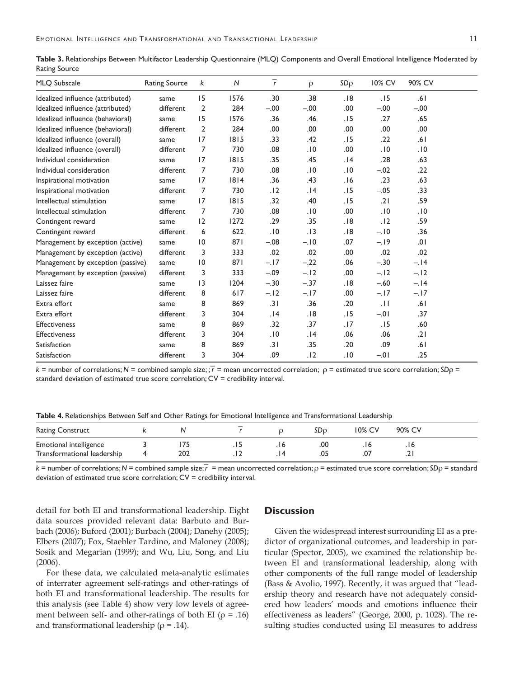| Table 3. Relationships Between Multifactor Leadership Questionnaire (MLQ) Components and Overall Emotional Intelligence Moderated by |  |  |  |  |  |
|--------------------------------------------------------------------------------------------------------------------------------------|--|--|--|--|--|
| <b>Rating Source</b>                                                                                                                 |  |  |  |  |  |

| <b>MLO Subscale</b>               | Rating Source | k               | N    | $\overline{r}$ | $\rho$ | SDp | 10% CV | 90% CV |  |
|-----------------------------------|---------------|-----------------|------|----------------|--------|-----|--------|--------|--|
| Idealized influence (attributed)  | same          | 15              | 1576 | .30            | .38    | .18 | .15    | .61    |  |
| Idealized influence (attributed)  | different     | $\overline{2}$  | 284  | $-.00$         | $-.00$ | .00 | $-.00$ | $-.00$ |  |
| Idealized influence (behavioral)  | same          | 15              | 1576 | .36            | .46    | .15 | .27    | .65    |  |
| Idealized influence (behavioral)  | different     | $\overline{2}$  | 284  | .00            | .00    | .00 | .00    | .00    |  |
| Idealized influence (overall)     | same          | 17              | 1815 | .33            | .42    | .15 | .22    | .61    |  |
| Idealized influence (overall)     | different     | 7               | 730  | .08            | .10    | .00 | .10    | .10    |  |
| Individual consideration          | same          | 17              | 1815 | .35            | .45    | .14 | .28    | .63    |  |
| Individual consideration          | different     | $\overline{7}$  | 730  | .08            | .10    | .10 | $-.02$ | .22    |  |
| Inspirational motivation          | same          | 17              | 1814 | .36            | .43    | .16 | .23    | .63    |  |
| Inspirational motivation          | different     | $\overline{7}$  | 730  | .12            | .14    | .15 | $-.05$ | .33    |  |
| Intellectual stimulation          | same          | 17              | 1815 | .32            | .40    | .15 | .21    | .59    |  |
| Intellectual stimulation          | different     | 7               | 730  | .08            | .10    | .00 | .10    | .10    |  |
| Contingent reward                 | same          | 12              | 1272 | .29            | .35    | .18 | .12    | .59    |  |
| Contingent reward                 | different     | 6               | 622  | .10            | .13    | .18 | $-.10$ | .36    |  |
| Management by exception (active)  | same          | $\overline{10}$ | 871  | $-.08$         | $-.10$ | .07 | $-.19$ | .01    |  |
| Management by exception (active)  | different     | 3               | 333  | .02            | .02    | .00 | .02    | .02    |  |
| Management by exception (passive) | same          | $\overline{10}$ | 871  | $-.17$         | $-.22$ | .06 | $-.30$ | $-.14$ |  |
| Management by exception (passive) | different     | 3               | 333  | $-.09$         | $-.12$ | .00 | $-.12$ | $-.12$ |  |
| Laissez faire                     | same          | 13              | 1204 | $-.30$         | $-.37$ | .18 | $-.60$ | $-.14$ |  |
| Laissez faire                     | different     | 8               | 617  | $-.12$         | $-.17$ | .00 | $-.17$ | $-.17$ |  |
| Extra effort                      | same          | 8               | 869  | .31            | .36    | .20 | .H     | .61    |  |
| Extra effort                      | different     | 3               | 304  | 14.            | .18    | .15 | $-.01$ | .37    |  |
| <b>Effectiveness</b>              | same          | 8               | 869  | .32            | .37    | .17 | .15    | .60    |  |
| <b>Effectiveness</b>              | different     | 3               | 304  | .10            | .14    | .06 | .06    | .21    |  |
| Satisfaction                      | same          | 8               | 869  | .31            | .35    | .20 | .09    | .61    |  |
| Satisfaction                      | different     | 3               | 304  | .09            | .12    | .10 | $-.01$ | .25    |  |

 $k =$  number of correlations;  $N =$  combined sample size; ;  $\overline{r}$  = mean uncorrected correlation;  $\rho =$  estimated true score correlation;  $SD\rho =$ standard deviation of estimated true score correlation; CV = credibility interval.

| <b>Rating Construct</b>     |     |   | SDC | 10% CV | 90% CV |  |
|-----------------------------|-----|---|-----|--------|--------|--|
| Emotional intelligence      |     |   | .00 |        | .      |  |
| Transformational leadership | 202 | . |     | .07    | ا ڪ    |  |

*k* = number of correlations; *N* = combined sample size;  $\bar{r}$  = mean uncorrected correlation;  $ρ$  = estimated true score correlation; *SD* $ρ$  = standard deviation of estimated true score correlation; CV = credibility interval.

detail for both EI and transformational leadership. Eight data sources provided relevant data: Barbuto and Burbach (2006); Buford (2001); Burbach (2004); Danehy (2005); Elbers (2007); Fox, Staebler Tardino, and Maloney (2008); Sosik and Megarian (1999); and Wu, Liu, Song, and Liu (2006).

For these data, we calculated meta-analytic estimates of interrater agreement self-ratings and other-ratings of both EI and transformational leadership. The results for this analysis (see Table 4) show very low levels of agreement between self- and other-ratings of both EI ( $\rho$  = .16) and transformational leadership ( $ρ = .14$ ).

# **Discussion**

Given the widespread interest surrounding EI as a predictor of organizational outcomes, and leadership in particular (Spector, 2005), we examined the relationship between EI and transformational leadership, along with other components of the full range model of leadership (Bass & Avolio, 1997). Recently, it was argued that "leadership theory and research have not adequately considered how leaders' moods and emotions influence their effectiveness as leaders" (George, 2000, p. 1028). The resulting studies conducted using EI measures to address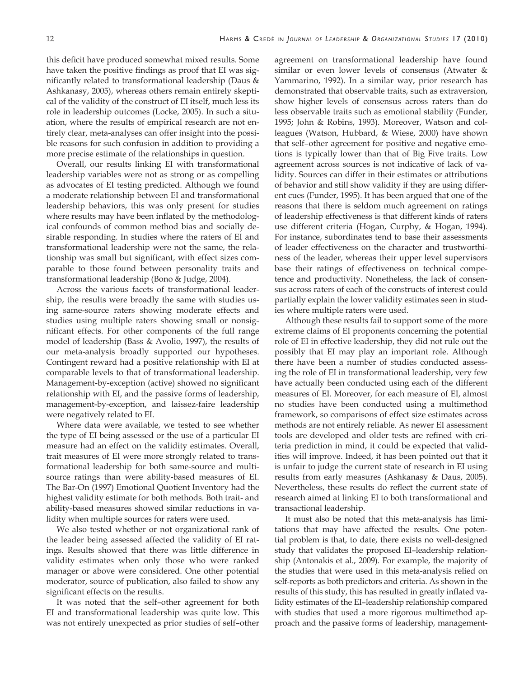this deficit have produced somewhat mixed results. Some have taken the positive findings as proof that EI was significantly related to transformational leadership (Daus & Ashkanasy, 2005), whereas others remain entirely skeptical of the validity of the construct of EI itself, much less its role in leadership outcomes (Locke, 2005). In such a situation, where the results of empirical research are not entirely clear, meta-analyses can offer insight into the possible reasons for such confusion in addition to providing a more precise estimate of the relationships in question.

Overall, our results linking EI with transformational leadership variables were not as strong or as compelling as advocates of EI testing predicted. Although we found a moderate relationship between EI and transformational leadership behaviors, this was only present for studies where results may have been inflated by the methodological confounds of common method bias and socially desirable responding. In studies where the raters of EI and transformational leadership were not the same, the relationship was small but significant, with effect sizes comparable to those found between personality traits and transformational leadership (Bono & Judge, 2004).

Across the various facets of transformational leadership, the results were broadly the same with studies using same-source raters showing moderate effects and studies using multiple raters showing small or nonsignificant effects. For other components of the full range model of leadership (Bass & Avolio, 1997), the results of our meta-analysis broadly supported our hypotheses. Contingent reward had a positive relationship with EI at comparable levels to that of transformational leadership. Management-by-exception (active) showed no significant relationship with EI, and the passive forms of leadership, management-by-exception, and laissez-faire leadership were negatively related to EI.

Where data were available, we tested to see whether the type of EI being assessed or the use of a particular EI measure had an effect on the validity estimates. Overall, trait measures of EI were more strongly related to transformational leadership for both same-source and multisource ratings than were ability-based measures of EI. The Bar-On (1997) Emotional Quotient Inventory had the highest validity estimate for both methods. Both trait- and ability-based measures showed similar reductions in validity when multiple sources for raters were used.

We also tested whether or not organizational rank of the leader being assessed affected the validity of EI ratings. Results showed that there was little difference in validity estimates when only those who were ranked manager or above were considered. One other potential moderator, source of publication, also failed to show any significant effects on the results.

It was noted that the self–other agreement for both EI and transformational leadership was quite low. This was not entirely unexpected as prior studies of self–other

agreement on transformational leadership have found similar or even lower levels of consensus (Atwater & Yammarino, 1992). In a similar way, prior research has demonstrated that observable traits, such as extraversion, show higher levels of consensus across raters than do less observable traits such as emotional stability (Funder, 1995; John & Robins, 1993). Moreover, Watson and colleagues (Watson, Hubbard, & Wiese, 2000) have shown that self–other agreement for positive and negative emotions is typically lower than that of Big Five traits. Low agreement across sources is not indicative of lack of validity. Sources can differ in their estimates or attributions of behavior and still show validity if they are using different cues (Funder, 1995). It has been argued that one of the reasons that there is seldom much agreement on ratings of leadership effectiveness is that different kinds of raters use different criteria (Hogan, Curphy, & Hogan, 1994). For instance, subordinates tend to base their assessments of leader effectiveness on the character and trustworthiness of the leader, whereas their upper level supervisors base their ratings of effectiveness on technical competence and productivity. Nonetheless, the lack of consensus across raters of each of the constructs of interest could partially explain the lower validity estimates seen in studies where multiple raters were used.

Although these results fail to support some of the more extreme claims of EI proponents concerning the potential role of EI in effective leadership, they did not rule out the possibly that EI may play an important role. Although there have been a number of studies conducted assessing the role of EI in transformational leadership, very few have actually been conducted using each of the different measures of EI. Moreover, for each measure of EI, almost no studies have been conducted using a multimethod framework, so comparisons of effect size estimates across methods are not entirely reliable. As newer EI assessment tools are developed and older tests are refined with criteria prediction in mind, it could be expected that validities will improve. Indeed, it has been pointed out that it is unfair to judge the current state of research in EI using results from early measures (Ashkanasy & Daus, 2005). Nevertheless, these results do reflect the current state of research aimed at linking EI to both transformational and transactional leadership.

It must also be noted that this meta-analysis has limitations that may have affected the results. One potential problem is that, to date, there exists no well-designed study that validates the proposed EI–leadership relationship (Antonakis et al., 2009). For example, the majority of the studies that were used in this meta-analysis relied on self-reports as both predictors and criteria. As shown in the results of this study, this has resulted in greatly inflated validity estimates of the EI–leadership relationship compared with studies that used a more rigorous multimethod approach and the passive forms of leadership, management-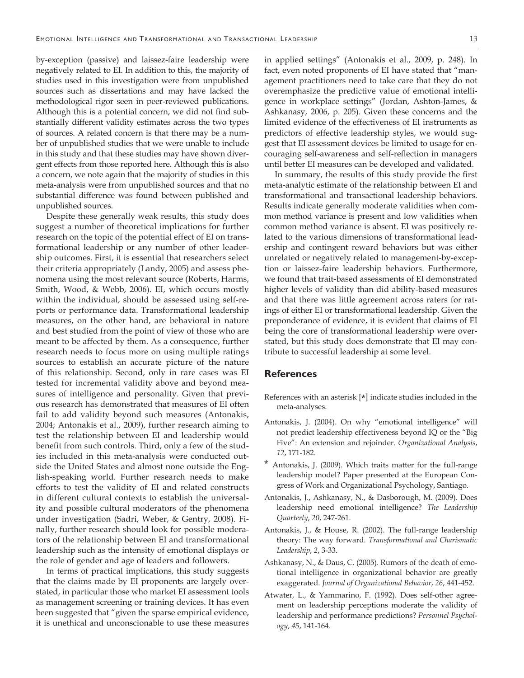by-exception (passive) and laissez-faire leadership were negatively related to EI. In addition to this, the majority of studies used in this investigation were from unpublished sources such as dissertations and may have lacked the methodological rigor seen in peer-reviewed publications. Although this is a potential concern, we did not find substantially different validity estimates across the two types of sources. A related concern is that there may be a number of unpublished studies that we were unable to include in this study and that these studies may have shown divergent effects from those reported here. Although this is also a concern, we note again that the majority of studies in this meta-analysis were from unpublished sources and that no substantial difference was found between published and unpublished sources.

Despite these generally weak results, this study does suggest a number of theoretical implications for further research on the topic of the potential effect of EI on transformational leadership or any number of other leadership outcomes. First, it is essential that researchers select their criteria appropriately (Landy, 2005) and assess phenomena using the most relevant source (Roberts, Harms, Smith, Wood, & Webb, 2006). EI, which occurs mostly within the individual, should be assessed using self-reports or performance data. Transformational leadership measures, on the other hand, are behavioral in nature and best studied from the point of view of those who are meant to be affected by them. As a consequence, further research needs to focus more on using multiple ratings sources to establish an accurate picture of the nature of this relationship. Second, only in rare cases was EI tested for incremental validity above and beyond measures of intelligence and personality. Given that previous research has demonstrated that measures of EI often fail to add validity beyond such measures (Antonakis, 2004; Antonakis et al., 2009), further research aiming to test the relationship between EI and leadership would benefit from such controls. Third, only a few of the studies included in this meta-analysis were conducted outside the United States and almost none outside the English-speaking world. Further research needs to make efforts to test the validity of EI and related constructs in different cultural contexts to establish the universality and possible cultural moderators of the phenomena under investigation (Sadri, Weber, & Gentry, 2008). Finally, further research should look for possible moderators of the relationship between EI and transformational leadership such as the intensity of emotional displays or the role of gender and age of leaders and followers.

In terms of practical implications, this study suggests that the claims made by EI proponents are largely overstated, in particular those who market EI assessment tools as management screening or training devices. It has even been suggested that "given the sparse empirical evidence, it is unethical and unconscionable to use these measures

in applied settings" (Antonakis et al., 2009, p. 248). In fact, even noted proponents of EI have stated that "management practitioners need to take care that they do not overemphasize the predictive value of emotional intelligence in workplace settings" (Jordan, Ashton-James, & Ashkanasy, 2006, p. 205). Given these concerns and the limited evidence of the effectiveness of EI instruments as predictors of effective leadership styles, we would suggest that EI assessment devices be limited to usage for encouraging self-awareness and self-reflection in managers until better EI measures can be developed and validated.

In summary, the results of this study provide the first meta-analytic estimate of the relationship between EI and transformational and transactional leadership behaviors. Results indicate generally moderate validities when common method variance is present and low validities when common method variance is absent. EI was positively related to the various dimensions of transformational leadership and contingent reward behaviors but was either unrelated or negatively related to management-by-exception or laissez-faire leadership behaviors. Furthermore, we found that trait-based assessments of EI demonstrated higher levels of validity than did ability-based measures and that there was little agreement across raters for ratings of either EI or transformational leadership. Given the preponderance of evidence, it is evident that claims of EI being the core of transformational leadership were overstated, but this study does demonstrate that EI may contribute to successful leadership at some level.

# **References**

- References with an asterisk [\*] indicate studies included in the meta-analyses.
- Antonakis, J. (2004). On why "emotional intelligence" will not predict leadership effectiveness beyond IQ or the "Big Five": An extension and rejoinder. *Organizational Analysis*, *12*, 171-182.
- \* Antonakis, J. (2009). Which traits matter for the full-range leadership model? Paper presented at the European Congress of Work and Organizational Psychology, Santiago.
- Antonakis, J., Ashkanasy, N., & Dasborough, M. (2009). Does leadership need emotional intelligence? *The Leadership Quarterly*, *20*, 247-261.
- Antonakis, J., & House, R. (2002). The full-range leadership theory: The way forward. *Transformational and Charismatic Leadership*, *2*, 3-33.
- Ashkanasy, N., & Daus, C. (2005). Rumors of the death of emotional intelligence in organizational behavior are greatly exaggerated. *Journal of Organizational Behavior*, *26*, 441-452.
- Atwater, L., & Yammarino, F. (1992). Does self-other agreement on leadership perceptions moderate the validity of leadership and performance predictions? *Personnel Psychology*, *45*, 141-164.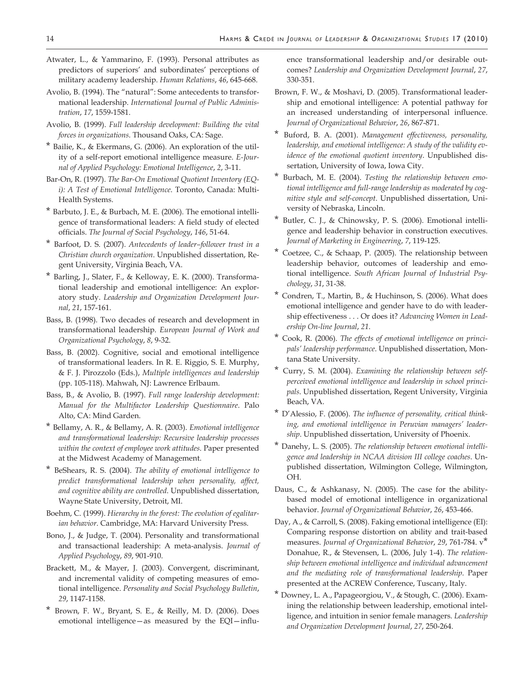- Atwater, L., & Yammarino, F. (1993). Personal attributes as predictors of superiors' and subordinates' perceptions of military academy leadership. *Human Relations*, *46*, 645-668.
- Avolio, B. (1994). The "natural": Some antecedents to transformational leadership. *International Journal of Public Administration*, *17*, 1559-1581.
- Avolio, B. (1999). *Full leadership development: Building the vital forces in organizations*. Thousand Oaks, CA: Sage.
- \* Bailie, K., & Ekermans, G. (2006). An exploration of the utility of a self-report emotional intelligence measure. *E-Journal of Applied Psychology: Emotional Intelligence*, *2*, 3-11.
- Bar-On, R. (1997). *The Bar-On Emotional Quotient Inventory (EQi): A Test of Emotional Intelligence*. Toronto, Canada: Multi-Health Systems.
- \* Barbuto, J. E., & Burbach, M. E. (2006). The emotional intelligence of transformational leaders: A field study of elected officials. *The Journal of Social Psychology*, *146*, 51-64.
- \* Barfoot, D. S. (2007). *Antecedents of leader–follower trust in a Christian church organization*. Unpublished dissertation, Regent University, Virginia Beach, VA.
- \* Barling, J., Slater, F., & Kelloway, E. K. (2000). Transformational leadership and emotional intelligence: An exploratory study. *Leadership and Organization Development Journal*, *21*, 157-161.
- Bass, B. (1998). Two decades of research and development in transformational leadership. *European Journal of Work and Organizational Psychology*, *8*, 9-32.
- Bass, B. (2002). Cognitive, social and emotional intelligence of transformational leaders. In R. E. Riggio, S. E. Murphy, & F. J. Pirozzolo (Eds.), *Multiple intelligences and leadership*  (pp. 105-118). Mahwah, NJ: Lawrence Erlbaum.
- Bass, B., & Avolio, B. (1997). *Full range leadership development: Manual for the Multifactor Leadership Questionnaire*. Palo Alto, CA: Mind Garden.
- \* Bellamy, A. R., & Bellamy, A. R. (2003). *Emotional intelligence and transformational leadership: Recursive leadership processes within the context of employee work attitudes*. Paper presented at the Midwest Academy of Management.
- \* BeShears, R. S. (2004). *The ability of emotional intelligence to predict transformational leadership when personality, affect, and cognitive ability are controlled*. Unpublished dissertation, Wayne State University, Detroit, MI.
- Boehm, C. (1999). *Hierarchy in the forest: The evolution of egalitarian behavior*. Cambridge, MA: Harvard University Press.
- Bono, J., & Judge, T. (2004). Personality and transformational and transactional leadership: A meta-analysis. *Journal of Applied Psychology*, *89*, 901-910.
- Brackett, M., & Mayer, J. (2003). Convergent, discriminant, and incremental validity of competing measures of emotional intelligence. *Personality and Social Psychology Bulletin*, *29*, 1147-1158.
- \* Brown, F. W., Bryant, S. E., & Reilly, M. D. (2006). Does emotional intelligence—as measured by the EQI—influ-

ence transformational leadership and/or desirable outcomes? *Leadership and Organization Development Journal*, *27*, 330-351.

- Brown, F. W., & Moshavi, D. (2005). Transformational leadership and emotional intelligence: A potential pathway for an increased understanding of interpersonal influence. *Journal of Organizational Behavior*, *26*, 867-871.
- \* Buford, B. A. (2001). *Management effectiveness, personality, leadership, and emotional intelligence: A study of the validity evidence of the emotional quotient inventory*. Unpublished dissertation, University of Iowa, Iowa City.
- Burbach, M. E. (2004). *Testing the relationship between emotional intelligence and full-range leadership as moderated by cognitive style and self-concept*. Unpublished dissertation, University of Nebraska, Lincoln.
- Butler, C. J., & Chinowsky, P. S. (2006). Emotional intelligence and leadership behavior in construction executives. *Journal of Marketing in Engineering*, *7*, 119-125.
- Coetzee, C., & Schaap, P. (2005). The relationship between leadership behavior, outcomes of leadership and emotional intelligence. *South African Journal of Industrial Psychology*, *31*, 31-38.
- \* Condren, T., Martin, B., & Huchinson, S. (2006). What does emotional intelligence and gender have to do with leadership effectiveness . . . Or does it? *Advancing Women in Leadership On-line Journal*, *21*.
- \* Cook, R. (2006). *The effects of emotional intelligence on principals' leadership performance*. Unpublished dissertation, Montana State University.
- Curry, S. M. (2004). *Examining the relationship between selfperceived emotional intelligence and leadership in school principals*. Unpublished dissertation, Regent University, Virginia Beach, VA.
- \* D'Alessio, F. (2006). *The influence of personality, critical thinking, and emotional intelligence in Peruvian managers' leadership*. Unpublished dissertation, University of Phoenix.
- \* Danehy, L. S. (2005). *The relationship between emotional intelligence and leadership in NCAA division III college coaches*. Unpublished dissertation, Wilmington College, Wilmington, OH.
- Daus, C., & Ashkanasy, N. (2005). The case for the abilitybased model of emotional intelligence in organizational behavior. *Journal of Organizational Behavior*, *26*, 453-466.
- Day, A., & Carroll, S. (2008). Faking emotional intelligence (EI): Comparing response distortion on ability and trait-based measures. *Journal of Organizational Behavior*, *29*, 761-784. v\* Donahue, R., & Stevensen, L. (2006, July 1-4). *The relationship between emotional intelligence and individual advancement and the mediating role of transformational leadership*. Paper presented at the ACREW Conference, Tuscany, Italy.
- Downey, L. A., Papageorgiou, V., & Stough, C. (2006). Examining the relationship between leadership, emotional intelligence, and intuition in senior female managers. *Leadership and Organization Development Journal*, *27*, 250-264.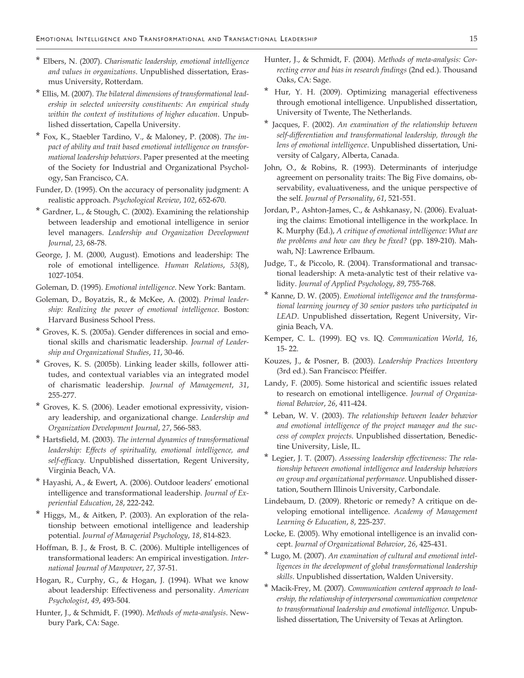- \* Elbers, N. (2007). *Charismatic leadership, emotional intelligence and values in organizations*. Unpublished dissertation, Erasmus University, Rotterdam.
- \* Ellis, M. (2007). *The bilateral dimensions of transformational leadership in selected university constituents: An empirical study within the context of institutions of higher education*. Unpublished dissertation, Capella University.
- \* Fox, K., Staebler Tardino, V., & Maloney, P. (2008). *The impact of ability and trait based emotional intelligence on transformational leadership behaviors*. Paper presented at the meeting of the Society for Industrial and Organizational Psychology, San Francisco, CA.
- Funder, D. (1995). On the accuracy of personality judgment: A realistic approach. *Psychological Review*, *102*, 652-670.
- \* Gardner, L., & Stough, C. (2002). Examining the relationship between leadership and emotional intelligence in senior level managers. *Leadership and Organization Development Journal*, *23*, 68-78.
- George, J. M. (2000, August). Emotions and leadership: The role of emotional intelligence. *Human Relations*, *53*(8), 1027-1054.
- Goleman, D. (1995). *Emotional intelligence*. New York: Bantam.
- Goleman, D., Boyatzis, R., & McKee, A. (2002). *Primal leadership: Realizing the power of emotional intelligence*. Boston: Harvard Business School Press.
- \* Groves, K. S. (2005a). Gender differences in social and emotional skills and charismatic leadership. *Journal of Leadership and Organizational Studies*, *11*, 30-46.
- \* Groves, K. S. (2005b). Linking leader skills, follower attitudes, and contextual variables via an integrated model of charismatic leadership. *Journal of Management*, *31*, 255-277.
- \* Groves, K. S. (2006). Leader emotional expressivity, visionary leadership, and organizational change. *Leadership and Organization Development Journal*, *27*, 566-583.
- \* Hartsfield, M. (2003). *The internal dynamics of transformational leadership: Effects of spirituality, emotional intelligence, and self-efficacy*. Unpublished dissertation, Regent University, Virginia Beach, VA.
- \* Hayashi, A., & Ewert, A. (2006). Outdoor leaders' emotional intelligence and transformational leadership. *Journal of Experiential Education*, *28*, 222-242.
- \* Higgs, M., & Aitken, P. (2003). An exploration of the relationship between emotional intelligence and leadership potential. *Journal of Managerial Psychology*, *18*, 814-823.
- Hoffman, B. J., & Frost, B. C. (2006). Multiple intelligences of transformational leaders: An empirical investigation. *International Journal of Manpower*, *27*, 37-51.
- Hogan, R., Curphy, G., & Hogan, J. (1994). What we know about leadership: Effectiveness and personality. *American Psychologist*, *49*, 493-504.
- Hunter, J., & Schmidt, F. (1990). *Methods of meta-analysis*. Newbury Park, CA: Sage.
- Hunter, J., & Schmidt, F. (2004). *Methods of meta-analysis: Correcting error and bias in research findings* (2nd ed.). Thousand Oaks, CA: Sage.
- Hur, Y. H. (2009). Optimizing managerial effectiveness through emotional intelligence. Unpublished dissertation, University of Twente, The Netherlands.
- \* Jacques, F. (2002). *An examination of the relationship between self-differentiation and transformational leadership, through the lens of emotional intelligence*. Unpublished dissertation, University of Calgary, Alberta, Canada.
- John, O., & Robins, R. (1993). Determinants of interjudge agreement on personality traits: The Big Five domains, observability, evaluativeness, and the unique perspective of the self. *Journal of Personality*, *61*, 521-551.
- Jordan, P., Ashton-James, C., & Ashkanasy, N. (2006). Evaluating the claims: Emotional intelligence in the workplace. In K. Murphy (Ed.), *A critique of emotional intelligence: What are the problems and how can they be fixed?* (pp. 189-210). Mahwah, NJ: Lawrence Erlbaum.
- Judge, T., & Piccolo, R. (2004). Transformational and transactional leadership: A meta-analytic test of their relative validity. *Journal of Applied Psychology*, *89*, 755-768.
- \* Kanne, D. W. (2005). *Emotional intelligence and the transformational learning journey of 30 senior pastors who participated in LEAD*. Unpublished dissertation, Regent University, Virginia Beach, VA.
- Kemper, C. L. (1999). EQ vs. IQ. *Communication World*, *16*, 15- 22.
- Kouzes, J., & Posner, B. (2003). *Leadership Practices Inventory*  (3rd ed.). San Francisco: Pfeiffer.
- Landy, F. (2005). Some historical and scientific issues related to research on emotional intelligence. *Journal of Organizational Behavior*, *26*, 411-424.
- \* Leban, W. V. (2003). *The relationship between leader behavior and emotional intelligence of the project manager and the success of complex projects*. Unpublished dissertation, Benedictine University, Lisle, IL.
- \* Legier, J. T. (2007). *Assessing leadership effectiveness: The relationship between emotional intelligence and leadership behaviors on group and organizational performance*. Unpublished dissertation, Southern Illinois University, Carbondale.
- Lindebaum, D. (2009). Rhetoric or remedy? A critique on developing emotional intelligence. *Academy of Management Learning & Education*, *8*, 225-237.
- Locke, E. (2005). Why emotional intelligence is an invalid concept. *Journal of Organizational Behavior*, *26*, 425-431.
- \* Lugo, M. (2007). *An examination of cultural and emotional intelligences in the development of global transformational leadership skills*. Unpublished dissertation, Walden University.
- \* Macik-Frey, M. (2007). *Communication centered approach to leadership, the relationship of interpersonal communication competence to transformational leadership and emotional intelligence*. Unpublished dissertation, The University of Texas at Arlington.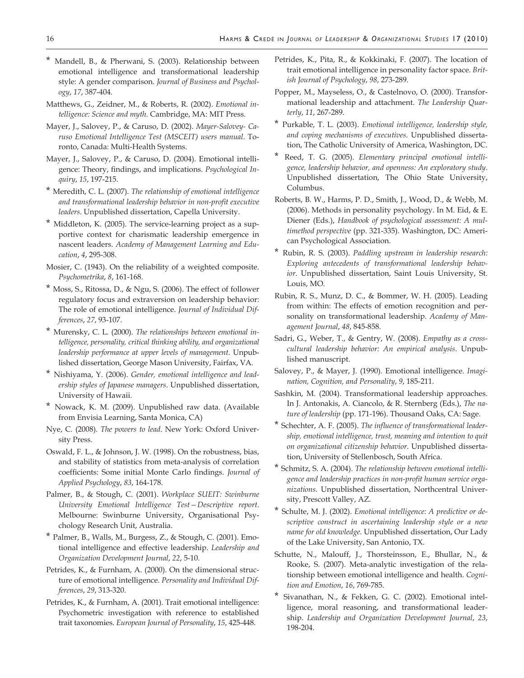- \* Mandell, B., & Pherwani, S. (2003). Relationship between emotional intelligence and transformational leadership style: A gender comparison. *Journal of Business and Psychology*, *17*, 387-404.
- Matthews, G., Zeidner, M., & Roberts, R. (2002). *Emotional intelligence: Science and myth*. Cambridge, MA: MIT Press.
- Mayer, J., Salovey, P., & Caruso, D. (2002). *Mayer-Salovey- Caruso Emotional Intelligence Test (MSCEIT) users manual*. Toronto, Canada: Multi-Health Systems.
- Mayer, J., Salovey, P., & Caruso, D. (2004). Emotional intelligence: Theory, findings, and implications. *Psychological Inquiry*, *15*, 197-215.
- \* Meredith, C. L. (2007). *The relationship of emotional intelligence and transformational leadership behavior in non-profit executive leaders*. Unpublished dissertation, Capella University.
- \* Middleton, K. (2005). The service-learning project as a supportive context for charismatic leadership emergence in nascent leaders. *Academy of Management Learning and Education*, *4*, 295-308.
- Mosier, C. (1943). On the reliability of a weighted composite. *Psychometrika*, *8*, 161-168.
- \* Moss, S., Ritossa, D., & Ngu, S. (2006). The effect of follower regulatory focus and extraversion on leadership behavior: The role of emotional intelligence. *Journal of Individual Differences*, *27*, 93-107.
- \* Murensky, C. L. (2000). *The relationships between emotional intelligence, personality, critical thinking ability, and organizational leadership performance at upper levels of management*. Unpublished dissertation, George Mason University, Fairfax, VA.
- \* Nishiyama, Y. (2006). *Gender, emotional intelligence and leadership styles of Japanese managers*. Unpublished dissertation, University of Hawaii.
- \* Nowack, K. M. (2009). Unpublished raw data. (Available from Envisia Learning, Santa Monica, CA)
- Nye, C. (2008). *The powers to lead*. New York: Oxford University Press.
- Oswald, F. L., & Johnson, J. W. (1998). On the robustness, bias, and stability of statistics from meta-analysis of correlation coefficients: Some initial Monte Carlo findings. *Journal of Applied Psychology*, *83*, 164-178.
- Palmer, B., & Stough, C. (2001). *Workplace SUEIT: Swinburne University Emotional Intelligence Test—Descriptive report*. Melbourne: Swinburne University, Organisational Psychology Research Unit, Australia.
- \* Palmer, B., Walls, M., Burgess, Z., & Stough, C. (2001). Emotional intelligence and effective leadership. *Leadership and Organization Development Journal*, *22*, 5-10.
- Petrides, K., & Furnham, A. (2000). On the dimensional structure of emotional intelligence. *Personality and Individual Differences*, *29*, 313-320.
- Petrides, K., & Furnham, A. (2001). Trait emotional intelligence: Psychometric investigation with reference to established trait taxonomies. *European Journal of Personality*, *15*, 425-448.
- Petrides, K., Pita, R., & Kokkinaki, F. (2007). The location of trait emotional intelligence in personality factor space. *British Journal of Psychology*, *98*, 273-289.
- Popper, M., Mayseless, O., & Castelnovo, O. (2000). Transformational leadership and attachment. *The Leadership Quarterly*, *11*, 267-289.
- \* Purkable, T. L. (2003). *Emotional intelligence, leadership style, and coping mechanisms of executives*. Unpublished dissertation, The Catholic University of America, Washington, DC.
- \* Reed, T. G. (2005). *Elementary principal emotional intelligence, leadership behavior, and openness: An exploratory study*. Unpublished dissertation, The Ohio State University, Columbus.
- Roberts, B. W., Harms, P. D., Smith, J., Wood, D., & Webb, M. (2006). Methods in personality psychology. In M. Eid, & E. Diener (Eds.), *Handbook of psychological assessment: A multimethod perspective* (pp. 321-335). Washington, DC: American Psychological Association.
- \* Rubin, R. S. (2003). *Paddling upstream in leadership research: Exploring antecedents of transformational leadership behavior*. Unpublished dissertation, Saint Louis University, St. Louis, MO.
- Rubin, R. S., Munz, D. C., & Bommer, W. H. (2005). Leading from within: The effects of emotion recognition and personality on transformational leadership. *Academy of Management Journal*, *48*, 845-858.
- Sadri, G., Weber, T., & Gentry, W. (2008). *Empathy as a crosscultural leadership behavior: An empirical analysis*. Unpublished manuscript.
- Salovey, P., & Mayer, J. (1990). Emotional intelligence. *Imagination, Cognition, and Personality*, *9*, 185-211.
- Sashkin, M. (2004). Transformational leadership approaches. In J. Antonakis, A. Ciancolo, & R. Sternberg (Eds.), *The nature of leadership* (pp. 171-196). Thousand Oaks, CA: Sage.
- \* Schechter, A. F. (2005). *The influence of transformational leadership, emotional intelligence, trust, meaning and intention to quit on organizational citizenship behavior*. Unpublished dissertation, University of Stellenbosch, South Africa.
- \* Schmitz, S. A. (2004). *The relationship between emotional intelligence and leadership practices in non-profit human service organizations*. Unpublished dissertation, Northcentral University, Prescott Valley, AZ.
- \* Schulte, M. J. (2002). *Emotional intelligence: A predictive or descriptive construct in ascertaining leadership style or a new name for old knowledge*. Unpublished dissertation, Our Lady of the Lake University, San Antonio, TX.
- Schutte, N., Malouff, J., Thorsteinsson, E., Bhullar, N., & Rooke, S. (2007). Meta-analytic investigation of the relationship between emotional intelligence and health. *Cognition and Emotion*, *16*, 769-785.
- Sivanathan, N., & Fekken, G. C. (2002). Emotional intelligence, moral reasoning, and transformational leadership. *Leadership and Organization Development Journal*, *23*, 198-204.